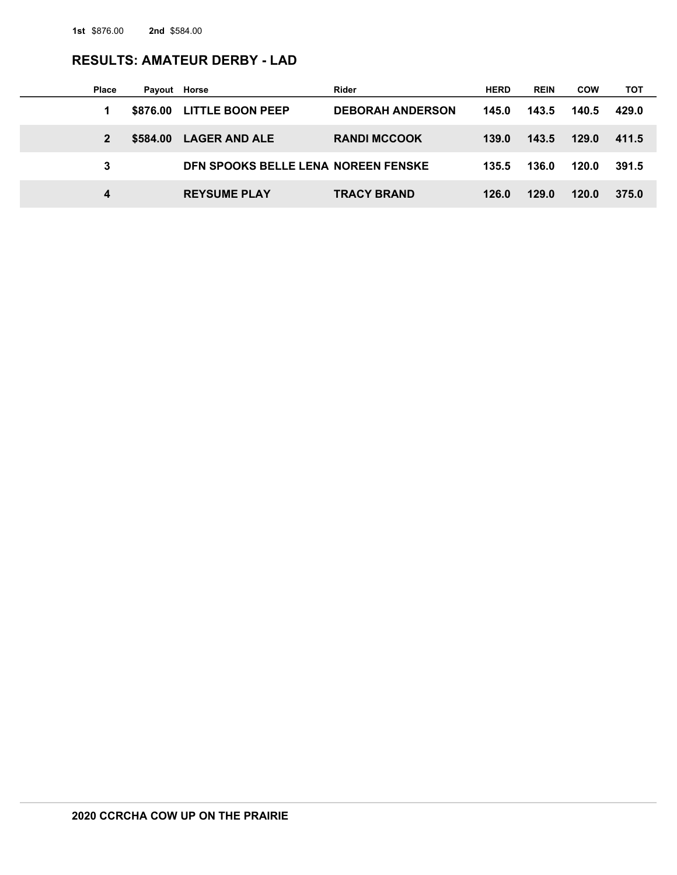# **RESULTS: AMATEUR DERBY - LAD**

| <b>Place</b> | Payout Horse |                                     | Rider                   | <b>HERD</b> | <b>REIN</b> | <b>COW</b> | тот   |
|--------------|--------------|-------------------------------------|-------------------------|-------------|-------------|------------|-------|
|              |              | \$876.00 LITTLE BOON PEEP           | <b>DEBORAH ANDERSON</b> | 145.0       | 143.5       | 140.5      | 429.0 |
|              | \$584.00     | <b>LAGER AND ALE</b>                | <b>RANDI MCCOOK</b>     | 139.0       | 143.5       | 129.0      | 411.5 |
| 3            |              | DEN SPOOKS BELLE LENA NOREEN FENSKE |                         | 135.5       | 136.0       | 120.0      | 391.5 |
| 4            |              | <b>REYSUME PLAY</b>                 | <b>TRACY BRAND</b>      | 126.0       | 129.0       | 120.0      | 375.0 |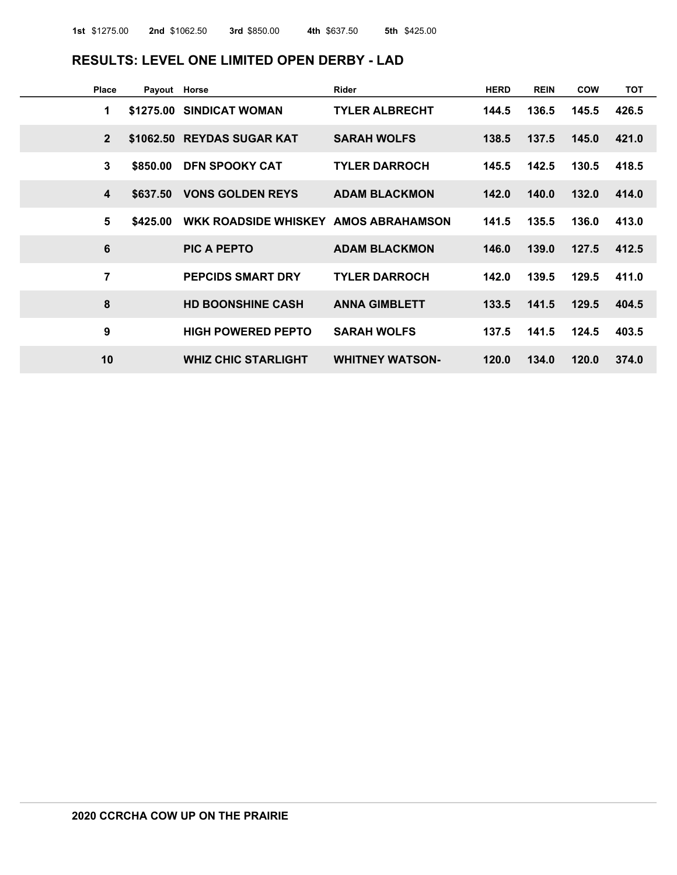## **RESULTS: LEVEL ONE LIMITED OPEN DERBY - LAD**

| Place          | Payout Horse |                                      | <b>Rider</b>           | <b>HERD</b> | <b>REIN</b> | COW   | <b>TOT</b> |
|----------------|--------------|--------------------------------------|------------------------|-------------|-------------|-------|------------|
| 1              |              | \$1275.00 SINDICAT WOMAN             | <b>TYLER ALBRECHT</b>  | 144.5       | 136.5       | 145.5 | 426.5      |
| $\overline{2}$ |              | \$1062.50 REYDAS SUGAR KAT           | <b>SARAH WOLFS</b>     | 138.5       | 137.5       | 145.0 | 421.0      |
| 3              | \$850.00     | <b>DFN SPOOKY CAT</b>                | <b>TYLER DARROCH</b>   | 145.5       | 142.5       | 130.5 | 418.5      |
| 4              | \$637,50     | <b>VONS GOLDEN REYS</b>              | <b>ADAM BLACKMON</b>   | 142.0       | 140.0       | 132.0 | 414.0      |
| 5              | \$425,00     | WKK ROADSIDE WHISKEY AMOS ABRAHAMSON |                        | 141.5       | 135.5       | 136.0 | 413.0      |
| 6              |              | PIC A PEPTO                          | <b>ADAM BLACKMON</b>   | 146.0       | 139.0       | 127.5 | 412.5      |
| $\overline{7}$ |              | <b>PEPCIDS SMART DRY</b>             | <b>TYLER DARROCH</b>   | 142.0       | 139.5       | 129.5 | 411.0      |
| 8              |              | <b>HD BOONSHINE CASH</b>             | <b>ANNA GIMBLETT</b>   | 133.5       | 141.5       | 129.5 | 404.5      |
| 9              |              | <b>HIGH POWERED PEPTO</b>            | <b>SARAH WOLFS</b>     | 137.5       | 141.5       | 124.5 | 403.5      |
| 10             |              | <b>WHIZ CHIC STARLIGHT</b>           | <b>WHITNEY WATSON-</b> | 120.0       | 134.0       | 120.0 | 374.0      |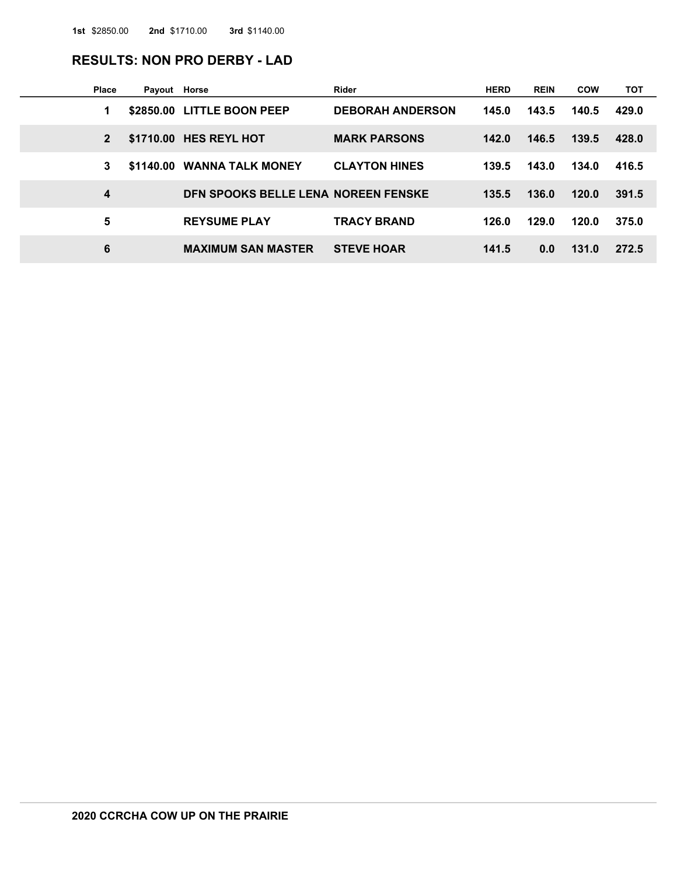## **RESULTS: NON PRO DERBY - LAD**

| Place        | Payout Horse |                                     | Rider                   | <b>HERD</b> | <b>REIN</b> | <b>COW</b> | тот   |
|--------------|--------------|-------------------------------------|-------------------------|-------------|-------------|------------|-------|
| 1            |              | \$2850.00 LITTLE BOON PEEP          | <b>DEBORAH ANDERSON</b> | 145.0       | 143.5       | 140.5      | 429.0 |
| $\mathbf{2}$ |              | \$1710.00 HES REYL HOT              | <b>MARK PARSONS</b>     | 142.0       | 146.5       | 139.5      | 428.0 |
| 3            |              | \$1140.00 WANNA TALK MONEY          | <b>CLAYTON HINES</b>    | 139.5       | 143.0       | 134.0      | 416.5 |
| 4            |              | DEN SPOOKS BELLE LENA NOREEN FENSKE |                         | 135.5       | 136.0       | 120.0      | 391.5 |
| 5            |              | <b>REYSUME PLAY</b>                 | <b>TRACY BRAND</b>      | 126.0       | 129.0       | 120.0      | 375.0 |
| 6            |              | <b>MAXIMUM SAN MASTER</b>           | <b>STEVE HOAR</b>       | 141.5       | 0.0         | 131.0      | 272.5 |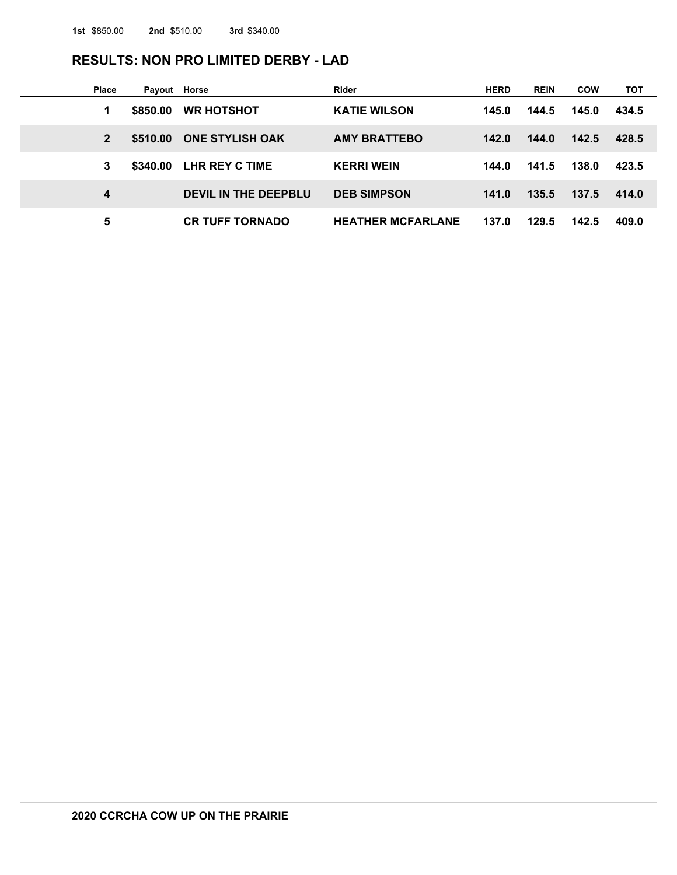# **RESULTS: NON PRO LIMITED DERBY - LAD**

| <b>Place</b> | Payout Horse |                        | Rider                    | <b>HERD</b> | <b>REIN</b> | <b>COW</b> | тот   |
|--------------|--------------|------------------------|--------------------------|-------------|-------------|------------|-------|
|              | \$850,00     | <b>WR HOTSHOT</b>      | <b>KATIE WILSON</b>      | 145.0       | 144.5       | 145.0      | 434.5 |
|              | \$510,00     | <b>ONE STYLISH OAK</b> | <b>AMY BRATTEBO</b>      | 142.0       | 144.0       | 142.5      | 428.5 |
| 3            | \$340,00     | LHR REY C TIME         | <b>KERRI WEIN</b>        | 144.0       | 141.5       | 138.0      | 423.5 |
| 4            |              | DEVIL IN THE DEEPBLU   | <b>DEB SIMPSON</b>       | 141.0       | 135.5       | 137.5      | 414.0 |
| 5            |              | <b>CR TUFF TORNADO</b> | <b>HEATHER MCFARLANE</b> | 137.0       | 129.5       | 142.5      | 409.0 |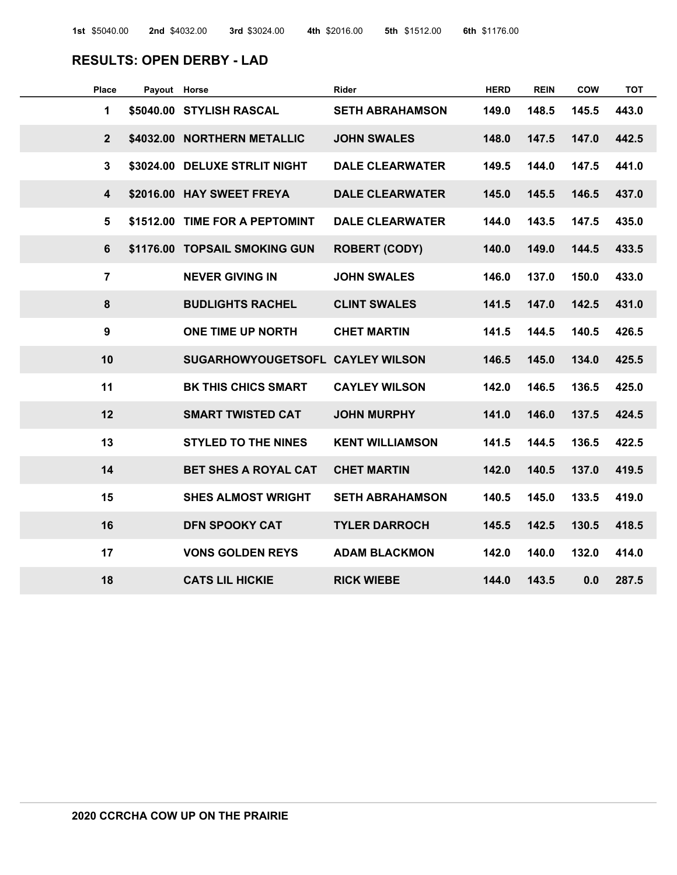## **RESULTS: OPEN DERBY - LAD**

| <b>Place</b>            | Payout Horse |                               | <b>Rider</b>           | <b>HERD</b> | <b>REIN</b> | <b>COW</b> | <b>TOT</b> |
|-------------------------|--------------|-------------------------------|------------------------|-------------|-------------|------------|------------|
| 1                       | \$5040.00    | <b>STYLISH RASCAL</b>         | <b>SETH ABRAHAMSON</b> | 149.0       | 148.5       | 145.5      | 443.0      |
| $\overline{2}$          |              | \$4032.00 NORTHERN METALLIC   | <b>JOHN SWALES</b>     | 148.0       | 147.5       | 147.0      | 442.5      |
| 3                       | \$3024.00    | <b>DELUXE STRLIT NIGHT</b>    | <b>DALE CLEARWATER</b> | 149.5       | 144.0       | 147.5      | 441.0      |
| $\overline{\mathbf{4}}$ |              | \$2016.00 HAY SWEET FREYA     | <b>DALE CLEARWATER</b> | 145.0       | 145.5       | 146.5      | 437.0      |
| 5                       | \$1512.00    | <b>TIME FOR A PEPTOMINT</b>   | <b>DALE CLEARWATER</b> | 144.0       | 143.5       | 147.5      | 435.0      |
| $6\phantom{1}$          |              | \$1176.00 TOPSAIL SMOKING GUN | <b>ROBERT (CODY)</b>   | 140.0       | 149.0       | 144.5      | 433.5      |
| $\overline{7}$          |              | <b>NEVER GIVING IN</b>        | <b>JOHN SWALES</b>     | 146.0       | 137.0       | 150.0      | 433.0      |
| 8                       |              | <b>BUDLIGHTS RACHEL</b>       | <b>CLINT SWALES</b>    | 141.5       | 147.0       | 142.5      | 431.0      |
| $\boldsymbol{9}$        |              | ONE TIME UP NORTH             | <b>CHET MARTIN</b>     | 141.5       | 144.5       | 140.5      | 426.5      |
| 10                      |              | <b>SUGARHOWYOUGETSOFL</b>     | <b>CAYLEY WILSON</b>   | 146.5       | 145.0       | 134.0      | 425.5      |
| 11                      |              | <b>BK THIS CHICS SMART</b>    | <b>CAYLEY WILSON</b>   | 142.0       | 146.5       | 136.5      | 425.0      |
| 12                      |              | <b>SMART TWISTED CAT</b>      | <b>JOHN MURPHY</b>     | 141.0       | 146.0       | 137.5      | 424.5      |
| 13                      |              | <b>STYLED TO THE NINES</b>    | <b>KENT WILLIAMSON</b> | 141.5       | 144.5       | 136.5      | 422.5      |
| 14                      |              | <b>BET SHES A ROYAL CAT</b>   | <b>CHET MARTIN</b>     | 142.0       | 140.5       | 137.0      | 419.5      |
| 15                      |              | <b>SHES ALMOST WRIGHT</b>     | <b>SETH ABRAHAMSON</b> | 140.5       | 145.0       | 133.5      | 419.0      |
| 16                      |              | <b>DFN SPOOKY CAT</b>         | <b>TYLER DARROCH</b>   | 145.5       | 142.5       | 130.5      | 418.5      |
| 17                      |              | <b>VONS GOLDEN REYS</b>       | <b>ADAM BLACKMON</b>   | 142.0       | 140.0       | 132.0      | 414.0      |
| 18                      |              | <b>CATS LIL HICKIE</b>        | <b>RICK WIEBE</b>      | 144.0       | 143.5       | 0.0        | 287.5      |
|                         |              |                               |                        |             |             |            |            |